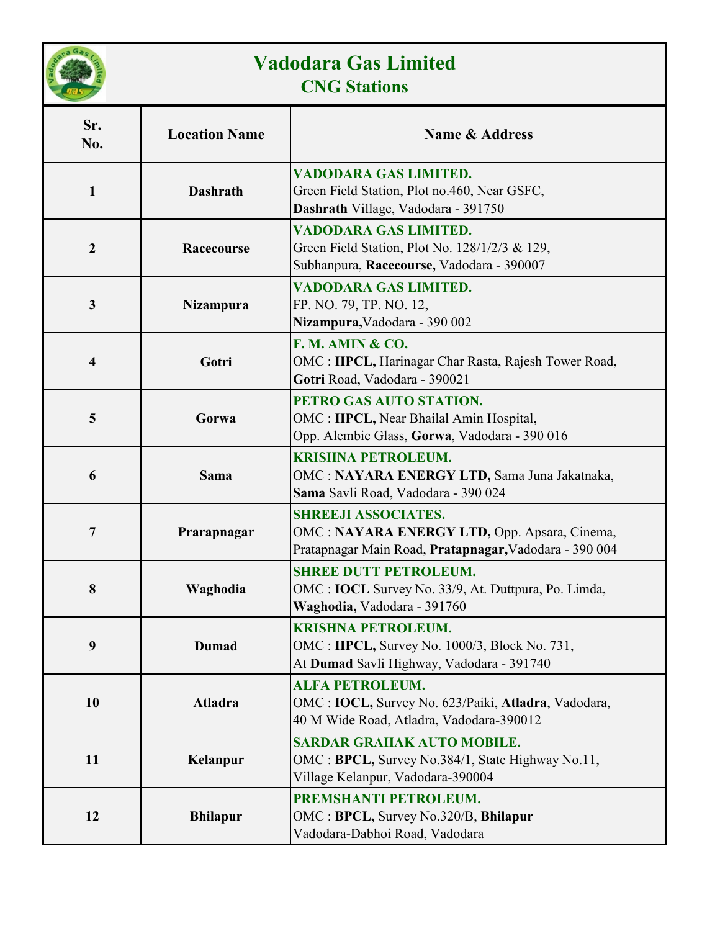

## **Vadodara Gas Limited CNG Stations**

| Sr.<br>No.              | <b>Location Name</b> | <b>Name &amp; Address</b>                                                                                                            |
|-------------------------|----------------------|--------------------------------------------------------------------------------------------------------------------------------------|
| $\mathbf{1}$            | <b>Dashrath</b>      | VADODARA GAS LIMITED.<br>Green Field Station, Plot no.460, Near GSFC,<br>Dashrath Village, Vadodara - 391750                         |
| $\boldsymbol{2}$        | Racecourse           | VADODARA GAS LIMITED.<br>Green Field Station, Plot No. 128/1/2/3 & 129,<br>Subhanpura, Racecourse, Vadodara - 390007                 |
| $\mathbf{3}$            | Nizampura            | <b>VADODARA GAS LIMITED.</b><br>FP. NO. 79, TP. NO. 12,<br>Nizampura, Vadodara - 390 002                                             |
| $\overline{\mathbf{4}}$ | Gotri                | F. M. AMIN & CO.<br>OMC: HPCL, Harinagar Char Rasta, Rajesh Tower Road,<br>Gotri Road, Vadodara - 390021                             |
| 5                       | Gorwa                | PETRO GAS AUTO STATION.<br>OMC : HPCL, Near Bhailal Amin Hospital,<br>Opp. Alembic Glass, Gorwa, Vadodara - 390 016                  |
| 6                       | Sama                 | <b>KRISHNA PETROLEUM.</b><br>OMC: NAYARA ENERGY LTD, Sama Juna Jakatnaka,<br>Sama Savli Road, Vadodara - 390 024                     |
| 7                       | Prarapnagar          | <b>SHREEJI ASSOCIATES.</b><br>OMC: NAYARA ENERGY LTD, Opp. Apsara, Cinema,<br>Pratapnagar Main Road, Pratapnagar, Vadodara - 390 004 |
| 8                       | Waghodia             | <b>SHREE DUTT PETROLEUM.</b><br>OMC : <b>IOCL</b> Survey No. 33/9, At. Duttpura, Po. Limda,<br>Waghodia, Vadodara - 391760           |
| 9                       | <b>Dumad</b>         | <b>KRISHNA PETROLEUM.</b><br>OMC: HPCL, Survey No. 1000/3, Block No. 731,<br>At Dumad Savli Highway, Vadodara - 391740               |
| 10                      | Atladra              | <b>ALFA PETROLEUM.</b><br>OMC : IOCL, Survey No. 623/Paiki, Atladra, Vadodara,<br>40 M Wide Road, Atladra, Vadodara-390012           |
| 11                      | Kelanpur             | <b>SARDAR GRAHAK AUTO MOBILE.</b><br>OMC: BPCL, Survey No.384/1, State Highway No.11,<br>Village Kelanpur, Vadodara-390004           |
| 12                      | <b>Bhilapur</b>      | PREMSHANTI PETROLEUM.<br>OMC: BPCL, Survey No.320/B, Bhilapur<br>Vadodara-Dabhoi Road, Vadodara                                      |